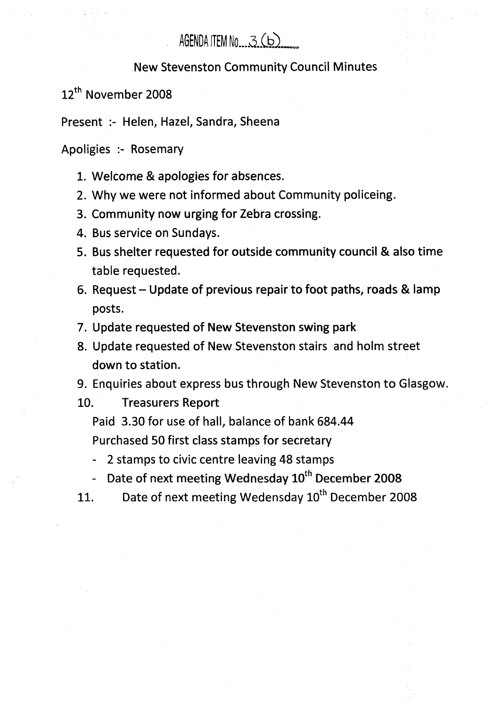## AGENDA ITEM No.,  $3(b)$

## New Stevenston Community Council Minutes

12<sup>th</sup> November 2008

Present :- Helen, Hazel, Sandra, Sheena

Apoligies :- Rosemary

- 1. Welcome & apologies for absences.
- 2. Why we were not informed about Community policeing.
- 3. Community now urging for Zebra crossing.
- 4. Bus service on Sundays.
- 5. Bus shelter requested for outside community council & **also** time table requested.
- 6. Request Update of previous repair to foot paths, roads & lamp posts.
- 7. Update requested of New Stevenston swing park
- 8. Update requested of New Stevenston stairs and holm street down to station.
- 9. Enquiries about express bus through New Stevenston to Glasgow.

10. Treasurers Report

Paid 3.30 for use of hall, balance of bank 684.44 Purchased 50 first class stamps for secretary

- 2 stamps to civic centre leaving 48 stamps
- Date of next meeting Wednesday  $10^{th}$  December 2008
- 11. Date of next meeting Wedensday 10<sup>th</sup> December 2008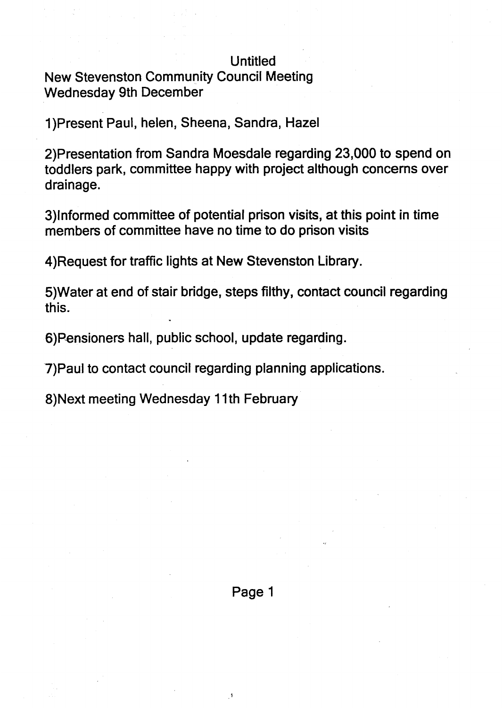## **Untitled**

New Stevenston Community Council Meeting Wednesday 9th December

1)Present Paul, helen, Sheena, Sandra, Hazel

2)Presentation from Sandra Moesdale regarding 23,000 to spend on toddlers park, committee happy with project although concerns over drainage.

3)lnformed committee of potential prison visits, at this point in time members of committee have no time to do prison visits

4)Request for traffic lights at New Stevenston Library.

5)Water at end of stair bridge, steps filthy, contact council regarding this.

6)Pensioners hall, public school, update regarding.

7)Paul to contact council regarding planning applications.

8) Next meeting Wednesday 11th February

Page 1

 $\overline{1}$